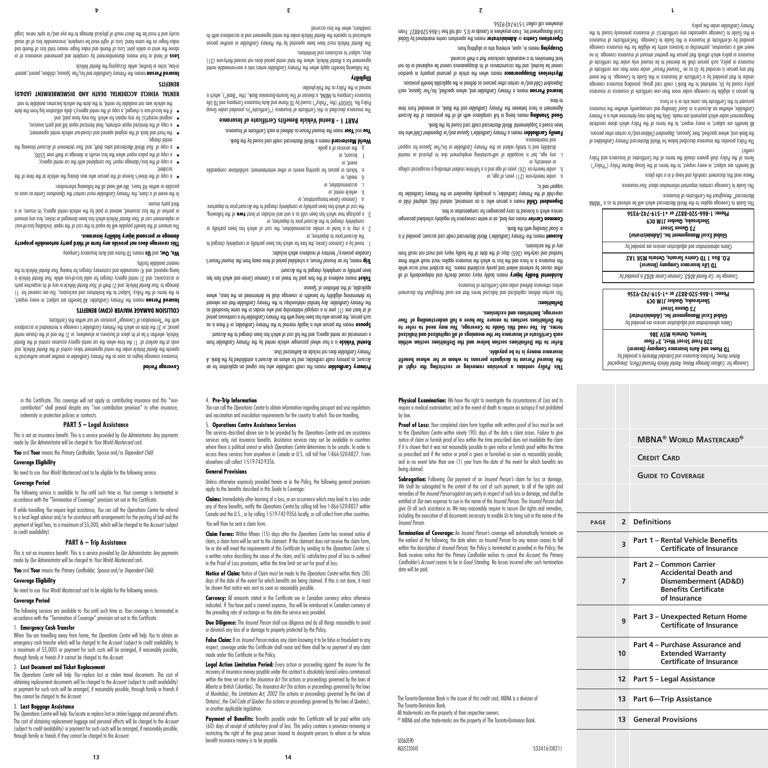The *Operations Centre* will help *You* replace lost or stolen travel documents. The cost of obtaining replacement documents will be charged to the *Account* (subject to credit availability) or payment for such costs will be arranged, if reasonably possible, through family or friends if they cannot be charged to the *Account*.

## 3. **Lost Baggage Assistance**

1. **Emergency Cash Transfer**

The *Operations Centre* will help *You* locate or replace lost or stolen luggage and personal effects. The cost of obtaining replacement luggage and personal effects will be charged to the *Account* (subject to credit availability) or payment for such costs will be arranged, if reasonably possible,

through family or friends if they cannot be charged to the *Account*.

in this Certificate. This coverage will not apply as contributing insurance and this "noncontribution" shall prevail despite any "non contribution provision" in other insurance, indemnity or protection policies or contracts.

protocore coverage begins as soon as the *Primary Cardholder* or another person authorized to , and *Rental Vehicle* under the rental agreement takes control of the *Rental Vehicle* operate the *Rental* ends at the earliest of: 1) the time when the car rental agency assumes control of the United that the place of business or elsewhere; or 2) the end of the chosen rental *vehicle*, when rental *vehicle* period; or 3) the date on which the *Primary Cardholder's* coverage is terminated in accordance

**All subject on means the Primary Cardholder. All benefits are subject, and respect means the Person means of D**<br>Measurement are the **Insurance of Primary Cardinal Primary Cardinal Primary Primary Primary Personal Primary** to the terms of the Policy. Subject to the limitations and exclusions, You are covered for: 1) or any of its respective parts *Your Rental Vehicle* ; and 2) theft of *Your Rental Vehicle* damage to or accessories; and 3) rental agency charges for valid bescor-use while Your Rental Vehicle is being repaired; and 4) reasonable and customary charges for towing Your Rental Vehicle to the

**This coverage does not provide any form of third party automobile property** 

The amount of the benefit payable will be equal to the cost of the repair (including loss-of-use) or replacement cost of Your Rental Vehicle which has been damaged or stolen, less any amount or portion of the loss assumed, waived or paid by the vehicle rental agency, its insurer, or a

as soon as *Operations Centre* must contact the *Primary Cardholder* In the event of a claim, the

of copy of the driver's license of the person who was defined and the time at the vehicle at the vehicle at the

with the "Termination of Coverage" provision set out within this Certificate.

**COLLISION DAMAGE WAIVER (CDW) BENEFITS**

means TD Home and Auto Insurance Company. **Us** and **We, Our,**

will need all the following the following information:

**complete with the care care report for completed with the car rental agency;** a copy of the police report when the loss results in damage or theft over  $500$ ; or optime the *Accountal Mastercard* sales draft, and *Your* statement of *Account* showing the **•** 

the front and back of the original opened and closed-out vehicle rental agreement; • a copy of the itemized repair estimate, final itemized repair bill and parts invoices; • may have baid; and *You and rebairs for which You may have paid*; and

if the loss-of-use is charged, a copy of the rental agency's daily utilization log from the date • the vehicle was not available for rental, to the date the vehicle becomes available to rent. **RENTAL VEHICLE ACCIDENTAL DEATH AND DISMEMBERMENT (AD&D)** 

, children, parent, parent- *Spouse* and his/her *Primary Cardholder* means the **Insured Person**

 of hand or foot means dismemberment by complete and permanent severance at or **Loss** bro dringth of any the write in the write of the write in the write in the write of the social loss of the soci index finger on the same hand. Loss of sight must be complete, irrecoverable loss of all visual acuity and it must be the direct result of physical damage to the eye and/or optic nerve. Legal

m-law, sister or brother, while *Occupying* the Rental Vehicle.

**damage or personal injury liability insurance.**

**Coverage Period**

nearest available facility.

third party insurer.

accident;

rental charge;

**BENEFITS**

4. **Pre-Trip Information**

5. **Operations Centre Assistance Services**

apply to the benefits described in this Guide to Coverage:

elsewhere call collect 1-519-742-9356.

*You* will then be sent a claim form.

**General Provisions**

*You* can call the *Operations Centre* to obtain information regarding passport and visa regulations and vaccination and inoculation requirements for the country to which *You* are travelling.

**Primary Cardholder** means the credit cardholder who has signed an application for an is established by the Bank. A *Account* , as primary credit cardholder, and for whom an *Account*

**Kental Vehicle** is a four wheel passenger vehicle rented by the *Primary Lardholder* from a commercial car rental agency, and the full cost of which has also the full agency of  $\mu$ **Spouse** means the person who is legally married to the Primary Cardholder, or if there is no For a continuous person who has been living with the *Primary Cardholder* for a continuous period of at least one (1) year in a conjugal relationship and who resides in the same household as that *Primary Cardholder* Any familial relationships to the *Primary Cardholder* that the relevant for determining eligibility for benefits or coverage shall be determined on the basis, where

Ticket means evidence of the fare paid for travel on a *Common Carrier* and which fare has

Info *Insured Person's a cuered person's* a schequied period is used to sep the *Insured Person's* 

). The fare for a common carrier, the fare for which has been partially or completely charged to

a stay in a hotel or similar accommodation, the cost of which has been partially or 2.

3. a package tour which has been sold as a unit and includes at least **two** of the rollowing, the cost of which has been partially or completely charged to the Account prior to departure:

tickets or passes for sporting events or other entertainment, exhibitioner comparable e.

Inters into a non-rental *Primary Cardholder enters into a non-renewable* rental , where the total rental *venicle, w*here the total rental period does not exceed thirty-one (31)

The Rental Vehicle must have been operated by the *Primary Cardholder* or another person anthorized to operate the *Rental Vehicle* ubent the rental agreement and in accordance with its

world Mastercard means a World Mastercard credit card issued by the Bank. **as defined in the Insurance of Insured Service**. *Ion Insurence* **PART 1 - Rental Vehicle Benefits Certificate of Insurance** The insurance described in this Certificate of Insurance ("Certificate")is provided under Group Policy No. To Pology (the "*Policy"*) issued by TD Home and Auto Insurance Company and TD Life insuance Company of MBNA, and The Toronto-Dominion Bank, (the "*Bank*"), which is

does not include an Authorized User. *Primary Cardholder*

. Sevoq 2 to noitinitab *zirit* to , aldo aliqqo

prior to departure; or *Account* the

transportation; or *Common Carrier a.*

b. vehicle rental; or accommodation; or g<sup>.</sup> meals) or

event; or lessons; or the services of a guide.

named in the *Policy* as the Policyholder.

days, subject to exclusions and limitations.

controus, when the loss occurred.

**Eligibility**

been partially or completely charged to the Account.

Canadian province/ territory of residence which includes:

prior to departure; or *Account* completely charged to the

**Physical Examination:** We have the right to investigate the circumstances of *Loss* and to require a medical examination; and in the event of death to require an autopsy if not prohibited

 **contains a provision removing or restricting the right of** *Policy* **This to designate persons to whom or for whose benefit** *Insured Person* **the** 

**Refer to the Definitions section below and the Definitions section within each Certificate of Insurance for the meanings of all capitalized and italicized rerms. As You read this Guide to Coverage, You may need to refer to** *Your* **have a full understanding of** *You* **the Definitions sections to ensure** 

This section defines capitalized and italicized terms that are used throughout this document

**heans bodily Inpury** moon of the period streak in the postup of all proportly of all body in the postup of all  $\theta$ other causes by external violent and purely accidental means. The accident must occur while this insurance is in force and the loss to which the insurance applies must result within three mundred and sixty-five (365) days of the data the bodily injury and must not result from

credit card account, provided it is *Primary Cardholder's World Mastercard* means the **Account**

means any land, air or water conveyance for regularly scheduled passenger **Common Carrier**

Dependent Child means a person who: is an unmarried, natural child, adopted child or step-child of the Primary Cardholder; is principally dependent on the Primary Cardholder for

b. under twenty-six (26) years of age and is a full-time student attending a recognized college

c. any age, but is incapable of self-sustaining employment due to physical or mental for supporting the section of the *Primary Cardholder* or his/sectional store reliant of the product of the produ<br>and maintenance. **Family Cardholder** means a Primary Cardholder's Spouse and/or Dependent Child who has

external being in full compliance with all complete with a state of the Account the Account **Cools** and the Bank, and the *Bankeen the Primary Cardholder* and the Bank, as amended from time

, each *Spouse* and, where specified, his/her *Primary Cardholder* means a **Insured Person** bependent *Child* and/or certain other persons as defined in the applicable benefit provision. **Mysterious Disappearance** means when the article of personal property in question cannot be located, and the circumstances of its disappearance cannot be explained or do not

perations **Centre** or **Administrator** means the operations centre maintained by Global Excel Management Inc. From anywhere in Canada or U.S. call toll free 1-866-520-8827. From

been issued o pelogolane by the Bankard credit card been is purk.

lend themselves to a reasonable conclusion that a theft occurred. means in, upon, entering into or alighting from. **Occupying**

elsewhere call collect 1-519-742-9356.

**insurance money is to be payable.**

**coverage, limitations and exclusions.** 

unless otherwise defined under each Certificate of Insurance.

service which is licensed to carry passengers for compensation or hire.

**Definitions:**

any of the exclusions.

si pup uoddns

to time.

or university, or

with *Bujpunic poog* standing

under twenty-one (21) years of age, or a.

Proof of Loss: *Your* completed claim form together with written proof of loss must be sent to the *Operations Centre* within ninety (90) days of the date a claim arises. Failure to give notice of claim or furnish proof of loss within the time prescribed does not invalidate the claim if it is shown that it was not reasonably possible to give notice or furnish proof within the time so prescribed and if the notice or proof is given or furnished as soon as reasonably possible, and in no event later than one (1) year from the date of the event for which benefits are

**MBNA® World Mastercard®**

*Collision Damage Waiver, Rental Vehicle Personal Effects, Unexpected* Coverage for: is provided by: *Return Home, Purchase Assurance and Extended Warranty*  **TD Home and Auto Insurance Company (Insurer) 320 Front Street West, 3rd Floor Toronto, Ontario M5V 3B6** Claims administration and adjudication services are provided by: **)** *Administrator* **Global Excel Management Inc. ( 73 Queen Street Sherbrooke, Quebec J1M 0C9 Phone: 1-866-520-8827 or +1-519-742-9356**

*Car Rental AD&D, Common Carrier AD&D is provided by:* Coverage for: **TD Life Insurance Company (Insurer) P.O. Box 1 TD Centre Toronto, Ontario M5K 1A2** Claims administration and adjudication services are provided by: **)** *Administrator* **Global Excel Management Inc. ( 73 Queen Street Sherbrooke, Quebec J1M 0C9 Phone: 1-866-520-8827 or +1-519-742-9356** This Guide to Coverage applies to the World Mastercard while he referred to a "MBNA" with MB

Mastercard" throughout the Certificates of Insurance:

pursuant to this Certificate has come into or is in force.

Primary Cardholder under the policy.

conflict.

Please read this document carefully and keep it in a safe place.

lhis Guide to Coverage contains intertour intornation about Your insurance.

All benefits are subject, in every respect, to the terms of the Group Master Policy ("Policy"). Terms of the Policy shall govern should the terms of the Certificates of Insurance and Policy

lhe Policy provides the insurance described below tor World Mastercard Primary Lardholders of and/or certain other personst personses, Dependent Children ond/or certain other persons. All benefits are subject, in every respect, to the terms of the Policy which alone constitute Preagreement under which payments are made. Only the Bank may determine who is a Primary and consequently whether the insurance *Good Standing* is in *Account* , whether an *Cardholder*

No person is eligible for coverage under more than one certificate of insurance or insurance policy issued by *Us*, marketed to the Bank's credit card group, providing insurance coverage similar to that provided by a Certificate of Insurance in this Guide to Coverage. In the event To etablities and more than one certificate of *Person*" under more than one certificate of insurance or policy, such person shall be deemed of be insured only under the certificate of insurance or policy which aftords that person the greatest amount of insurance coverage. In no event will a corporation, partnership or business entity be eligible for the insurance coverage provided by aCertificate of Insurance in this Guide to Coverage. TheCertificates of Insurance in this Guide to Coverage supersedes any certificate(s) of insurance previously issued to the

**CREDIT CARD** 

**page 2 Definitions**

**7**

**10**

**Guide to Coverage**

**<sup>3</sup> Part 1 – Rental Vehicle Benefits** 

**Part 2 – Common Carrier** 

**<sup>9</sup> Part 3 – Unexpected Return Home** 

**Part 4 – Purchase Assurance and Extended Warranty Certificate of Insurance**

**12 Part 5 – Legal Assistance**

**13 Part 6—Trip Assistance**

**13 General Provisions**

**Certificate of Insurance**

**Accidental Death and Dismemberment (AD&D) Benefits Certificate of Insurance**

**Certificate of Insurance**

**Subrogation:** Following *Our* payment of an *Insured Person's* claim for loss or damage, We shall be subrogated to the extent of the cost of such payment, to all of the rights and remedies of the *Insured Person* against any party in respect of such loss or damage, and shall be entitled at *Our* own expense to sue in the name of the *Insured Person*. The *Insured Person* shall give *Us* all such assistance as *We* may reasonably require to secure *Our* rights and remedies, including the execution of all documents necessary to enable *Us* to bring suit in the name of the

**Termination of Coverage:** An *Insured Person's* coverage will automatically terminate on the earliest of the following, the date when: an Insured Person for any reason ceases to fall within the description of *Insured Person*; the Policy is terminated as provided in the Policy; the Bank receives notice that the *Primary Cardholder* wishes to cancel the *Account*; the *Primary Cardholder's Account* ceases to be in *Good Standing*. No losses incurred after such termination

The Toronto-Dominion Bank is the issuer of this credit card. MBNA is a division of

® MBNA and other trade-marks are the property of The Toronto-Dominion Bank.

533416(0821)

All trade-marks are the property of their respective owners.

by law.

**4 3 2 1**

being claimed.

*Insured Person*.

date will be paid.

The Toronto-Dominion Bank.

50360590<br>MGJI523004F

The services described above are to be provided by the *Operations Centre* and are assistance services only, not insurance benefits. Assistance services may not be available in countries where there is political unrest or which *Operations Centre* determines to be unsafe. In order to access these services from anywhere in Canada or U.S. call toll free 1-866-520-8827. From

Unless otherwise expressly provided herein or in the Policy, the following general provisions

**Claims:** Immediately after learning of a loss, or an occurrence which may lead to a loss under any of these benefits, notify the *Operations Centre* by calling toll free 1-866-520-8827 within Canada and the U.S., or by calling 1-519-742-9356 locally, or call collect from other countries.

**Claim Forms:** Within fifteen (15) days after the *Operations Centre* has received notice of claim, a claim form will be sent to the claimant. If the claimant does not receive the claim form, he or she will meet the requirements of this Certificate by sending to the *Operations Centre*: a) a written notice describing the cause of the claim; and b) satisfactory proof of loss as outlined

**Notice of Claim:** Notice of Claim must be made to the *Operations Centre* within thirty (30) days of the date of the event for which benefits are being claimed. If this is not done, it must

**Currency:** All amounts stated in the Certificate are in Canadian currency unless otherwise indicated. If *You* have paid a covered expense, *You* will be reimbursed in Canadian currency at

**Due Diligence:** The *Insured Person* shall use diligence and do all things reasonable to avoid

**False Claim:** If an *Insured Person* makes any claim knowing it to be false or fraudulent in any respect, coverage under this Certificate shall cease and there shall be no payment of any claim

**Legal Action Limitation Period:** Every action or proceeding against the insurer for the recovery of insurance money payable under the contract is absolutely barred unless commenced within the time set out in the *Insurance Act* (for actions or proceedings governed by the laws of Alberta or British Columbia), The *Insurance Act* (for actions or proceedings governed by the laws of Manitoba), the *Limitations Act, 2002* (for actions or proceedings governed by the laws of Ontario), the *Civil Code of Quebec* (for actions or proceedings governed by the laws of Quebec),

**Payment of Benefits:** Benefits payable under this Certificate will be paid within sixty (60) days of receipt of satisfactory proof of loss. This policy contains a provision removing or restricting the right of the group person insured to designate persons to whom or for whose

in the Proof of Loss provisions, within the time limit set out for proof of loss.

be shown that notice was sent as soon as reasonably possible.

the prevailing rate of exchange on the date the service was provided.

or diminish any loss of or damage to property protected by the Policy.

made under this Certificate or the Policy.

or another applicable legislation.

benefit insurance money is to be payable.

This is not an insurance benefit. This is a service provided by *Our Administrator*. Any payments

The following service is available to *You* until such time as *Your* coverage is terminated in accordance with the "Termination of Coverage" provision set out in this Certificate. If while travelling *You* require legal assistance, *You* can call the *Operations Centre* for referral to a local legal advisor and/or for assistance with arrangements for the posting of bail and the payment of legal fees, to a maximum of \$5,000, which will be charged to the *Account* (subject

**PART 6 – Trip Assistance** This is not an insurance benefit. This is a service provided by *Our Administrator.* Any payments

The following services are available to *You* until such time as *Your* coverage is terminated in accordance with the "Termination of Coverage" provision set out in this Certificate.

When *You* are travelling away from home, the *Operations Centre* will help *You* to obtain an emergency cash transfer which will be charged to the *Account* (subject to credit availability, to imum of \$5,000) or payment for such costs will be arranged, if reasonably possible,

made by *Our Administrator* will be charged to *Your World Mastercard* card. **You** and **Your** means the *Primary Cardholder*, *Spouse* and/or *Dependent Child*.

through family or friends if it cannot be charged to the *Account*. 2. **Lost Document and Ticket Replacement**

No need to use *Your World Mastercard* card to be eligible for the following services.

**PART 5 – Legal Assistance**

**You** and **Your** means the *Primary Cardholder*, Spouse and/or *Dependent Child*

No need to use *Your World Mastercard* card to be eligible for the following service.

**Coverage Eligibility** 

**Coverage Period**

to credit availability).

**Coverage Eligibility**

**Coverage Period**

made by *Our Administrator* will be charged to *Your World Mastercard* card.